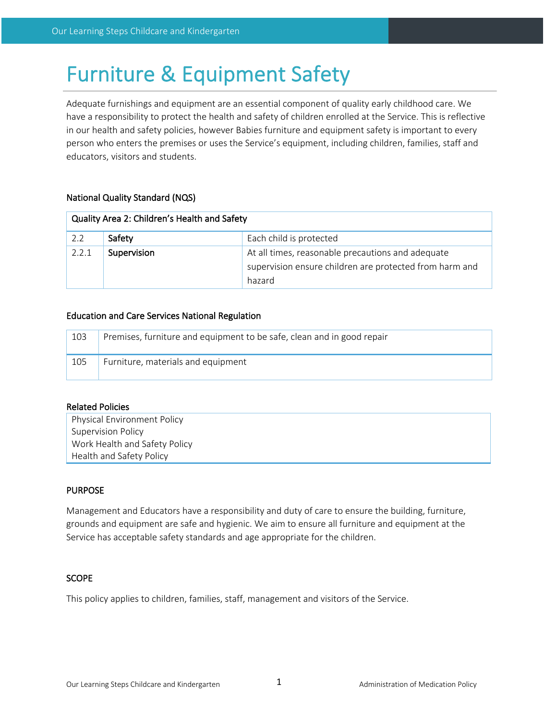# Furniture & Equipment Safety

Adequate furnishings and equipment are an essential component of quality early childhood care. We have a responsibility to protect the health and safety of children enrolled at the Service. This is reflective in our health and safety policies, however Babies furniture and equipment safety is important to every person who enters the premises or uses the Service's equipment, including children, families, staff and educators, visitors and students.

## National Quality Standard (NQS)

| Quality Area 2: Children's Health and Safety |                                                                                                                             |                         |  |  |
|----------------------------------------------|-----------------------------------------------------------------------------------------------------------------------------|-------------------------|--|--|
| 2.2                                          | Safety                                                                                                                      | Each child is protected |  |  |
| 2.2.1                                        | At all times, reasonable precautions and adequate<br>Supervision<br>supervision ensure children are protected from harm and |                         |  |  |
|                                              |                                                                                                                             | hazard                  |  |  |

## Education and Care Services National Regulation

| 103 | Premises, furniture and equipment to be safe, clean and in good repair |
|-----|------------------------------------------------------------------------|
| 105 | Furniture, materials and equipment                                     |

## Related Policies

| <b>Physical Environment Policy</b> |
|------------------------------------|
| Supervision Policy                 |
| Work Health and Safety Policy      |
| Health and Safety Policy           |

## PURPOSE

Management and Educators have a responsibility and duty of care to ensure the building, furniture, grounds and equipment are safe and hygienic. We aim to ensure all furniture and equipment at the Service has acceptable safety standards and age appropriate for the children.

### SCOPE

This policy applies to children, families, staff, management and visitors of the Service.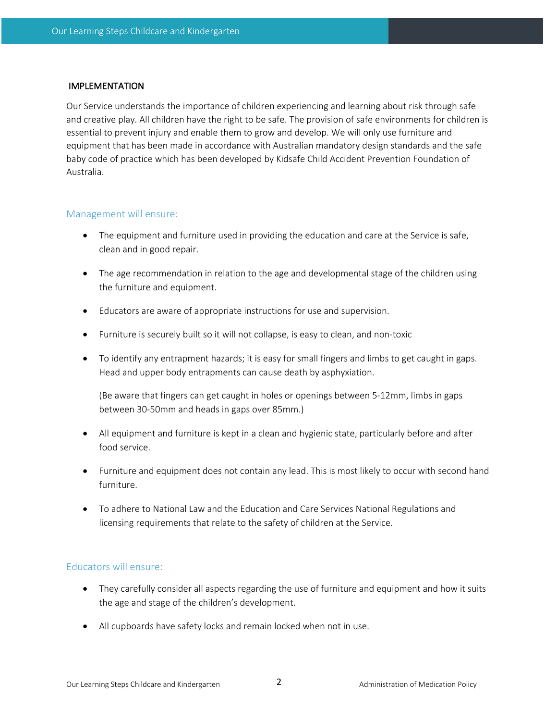### IMPLEMENTATION

Our Service understands the importance of children experiencing and learning about risk through safe and creative play. All children have the right to be safe. The provision of safe environments for children is essential to prevent injury and enable them to grow and develop. We will only use furniture and equipment that has been made in accordance with Australian mandatory design standards and the safe baby code of practice which has been developed by Kidsafe Child Accident Prevention Foundation of Australia.

## Management will ensure:

- The equipment and furniture used in providing the education and care at the Service is safe, clean and in good repair.
- The age recommendation in relation to the age and developmental stage of the children using the furniture and equipment.
- Educators are aware of appropriate instructions for use and supervision.
- Furniture is securely built so it will not collapse, is easy to clean, and non-toxic
- To identify any entrapment hazards; it is easy for small fingers and limbs to get caught in gaps. Head and upper body entrapments can cause death by asphyxiation.

(Be aware that fingers can get caught in holes or openings between 5-12mm, limbs in gaps between 30-50mm and heads in gaps over 85mm.)

- All equipment and furniture is kept in a clean and hygienic state, particularly before and after food service.
- Furniture and equipment does not contain any lead. This is most likely to occur with second hand furniture.
- To adhere to National Law and the Education and Care Services National Regulations and licensing requirements that relate to the safety of children at the Service.

## Educators will ensure:

- They carefully consider all aspects regarding the use of furniture and equipment and how it suits the age and stage of the children's development.
- All cupboards have safety locks and remain locked when not in use.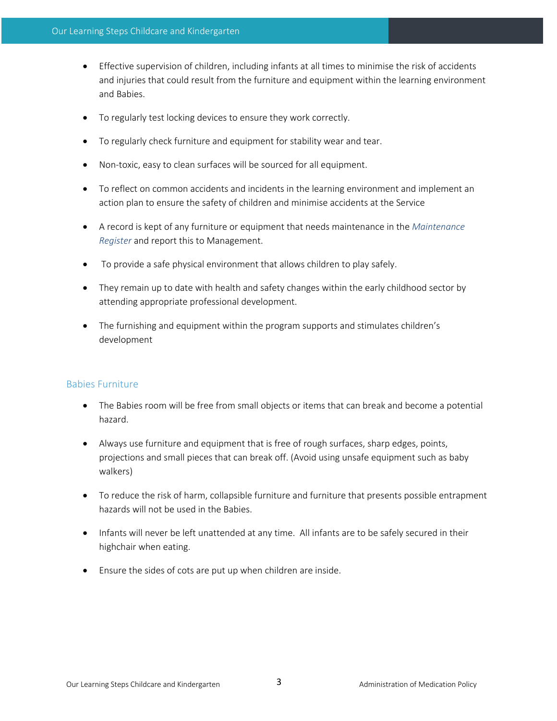- Effective supervision of children, including infants at all times to minimise the risk of accidents and injuries that could result from the furniture and equipment within the learning environment and Babies.
- To regularly test locking devices to ensure they work correctly.
- To regularly check furniture and equipment for stability wear and tear.
- Non-toxic, easy to clean surfaces will be sourced for all equipment.
- To reflect on common accidents and incidents in the learning environment and implement an action plan to ensure the safety of children and minimise accidents at the Service
- A record is kept of any furniture or equipment that needs maintenance in the *Maintenance Register* and report this to Management.
- To provide a safe physical environment that allows children to play safely.
- They remain up to date with health and safety changes within the early childhood sector by attending appropriate professional development.
- The furnishing and equipment within the program supports and stimulates children's development

## Babies Furniture

- The Babies room will be free from small objects or items that can break and become a potential hazard.
- Always use furniture and equipment that is free of rough surfaces, sharp edges, points, projections and small pieces that can break off. (Avoid using unsafe equipment such as baby walkers)
- To reduce the risk of harm, collapsible furniture and furniture that presents possible entrapment hazards will not be used in the Babies.
- Infants will never be left unattended at any time. All infants are to be safely secured in their highchair when eating.
- Ensure the sides of cots are put up when children are inside.